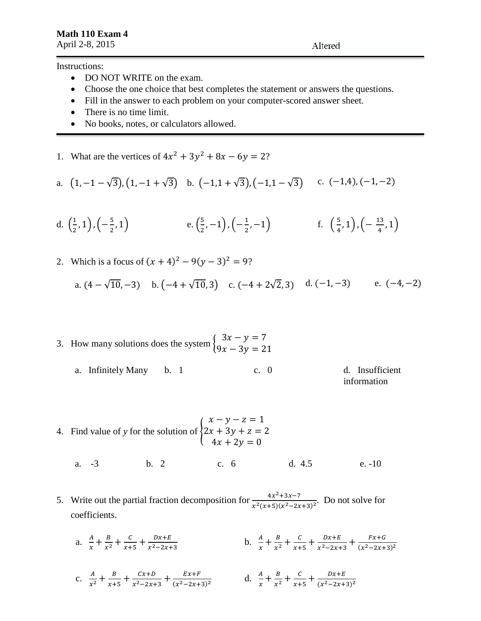Altered

Instructions:

- DO NOT WRITE on the exam.
- Choose the one choice that best completes the statement or answers the questions.
- Fill in the answer to each problem on your computer-scored answer sheet.
- There is no time limit.
- No books, notes, or calculators allowed.
- 1. What are the vertices of  $4x^2 + 3y^2 + 8x 6y = 2$ ?

a. 
$$
(1,-1-\sqrt{3})
$$
,  $(1,-1+\sqrt{3})$  b.  $(-1,1+\sqrt{3})$ ,  $(-1,1-\sqrt{3})$  c.  $(-1,4)$ ,  $(-1,-2)$ 

d. 
$$
\left(\frac{1}{2}, 1\right), \left(-\frac{5}{2}, 1\right)
$$
 \t\t e.  $\left(\frac{5}{2}, -1\right), \left(-\frac{1}{2}, -1\right)$  \t\t f.  $\left(\frac{5}{4}, 1\right), \left(-\frac{13}{4}, 1\right)$ 

2. Which is a focus of  $(x + 4)^2 - 9(y - 3)^2 = 9$ ?

a. 
$$
(4 - \sqrt{10}, -3)
$$
 b.  $(-4 + \sqrt{10}, 3)$  c.  $(-4 + 2\sqrt{2}, 3)$  d.  $(-1, -3)$  e.  $(-4, -2)$ 

- 3. How many solutions does the system  $\begin{cases} 3x y = 7 \\ 0x 3y = 2 \end{cases}$  $9x - 3y = 21$ 
	- a. Infinitely Many b. 1 c. 0 d. Insufficient information
- 4. Find value of *y* for the solution of {  $x - y - z = 1$  $2x + 3y + z = 2$  $4x + 2y = 0$ 
	- a. -3 b. 2 c. 6 d. 4.5 e. -10
- 5. Write out the partial fraction decomposition for  $\frac{4x^2+3x-7}{x^2-2x-1}$  $\frac{4x+5x-7}{x^2(x+5)(x^2-2x+3)^2}$ . Do not solve for coefficients.
	- a.  $\frac{A}{A}$  $\frac{A}{x}+\frac{B}{x^2}$  $rac{B}{x^2} + \frac{C}{x+}$  $\frac{c}{x+5} + \frac{Dx+E}{x^2-2x+1}$  $x^2-2x+3$ b.  $\frac{A}{x} + \frac{B}{x^2}$  $rac{B}{x^2} + \frac{C}{x+}$  $\frac{c}{x+5} + \frac{Dx+E}{x^2-2x+1}$  $\frac{Dx+E}{x^2-2x+3} + \frac{Fx+G}{(x^2-2x+1)}$  $(x^2-2x+3)^2$

c. 
$$
\frac{A}{x^2} + \frac{B}{x+5} + \frac{Cx+D}{x^2-2x+3} + \frac{Ex+F}{(x^2-2x+3)^2}
$$
 d.  $\frac{A}{x} + \frac{B}{x^2} + \frac{C}{x+5} + \frac{Dx+E}{(x^2-2x+3)^2}$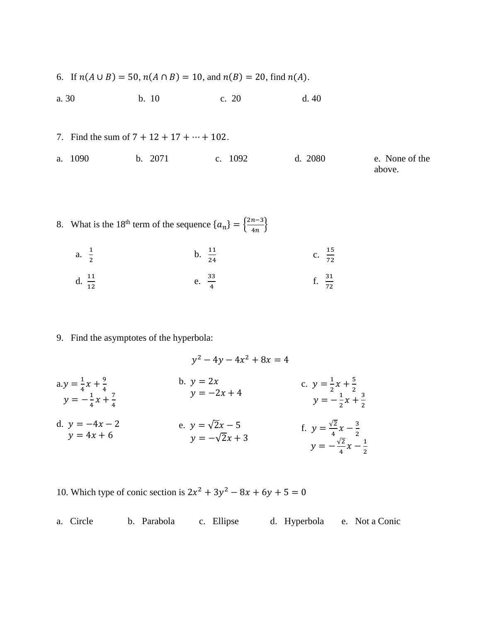- 6. If  $n(A \cup B) = 50$ ,  $n(A \cap B) = 10$ , and  $n(B) = 20$ , find  $n(A)$ .
- a. 30 b. 10 c. 20 d. 40
- 7. Find the sum of  $7 + 12 + 17 + \cdots + 102$ . a. 1090 b. 2071 c. 1092 d. 2080 e. None of the above.

8. What is the 18<sup>th</sup> term of the sequence 
$$
\{a_n\} = \{\frac{2n-3}{4n}\}
$$
  
a.  $\frac{1}{2}$   
b.  $\frac{11}{24}$   
c.  $\frac{15}{72}$   
d.  $\frac{11}{12}$   
e.  $\frac{33}{4}$   
f.  $\frac{31}{72}$ 

9. Find the asymptotes of the hyperbola:

$$
y^{2} - 4y - 4x^{2} + 8x = 4
$$
\n
$$
ay = \frac{1}{4}x + \frac{9}{4}
$$
\n
$$
y = -\frac{1}{4}x + \frac{7}{4}
$$
\n
$$
x = -2x + 4
$$
\n
$$
by = -2x + 4
$$
\n
$$
by = -2x + 4
$$
\n
$$
y = -\frac{1}{2}x + \frac{5}{2}
$$
\n
$$
y = -\frac{1}{2}x + \frac{3}{2}
$$
\n
$$
by = -4x - 2
$$
\n
$$
y = 4x + 6
$$
\n
$$
y = -\sqrt{2}x + 3
$$
\n
$$
y = -\frac{\sqrt{2}}{4}x - \frac{3}{2}
$$
\n
$$
y = -\frac{\sqrt{2}}{4}x - \frac{1}{2}
$$

10. Which type of conic section is  $2x^2 + 3y^2 - 8x + 6y + 5 = 0$ 

a. Circle b. Parabola c. Ellipse d. Hyperbola e. Not a Conic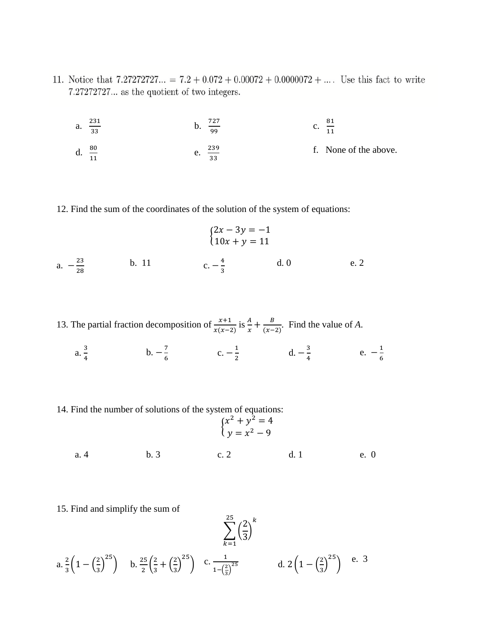- 11. Notice that  $7.27272727... = 7.2 + 0.072 + 0.00072 + 0.0000072 + ...$  Use this fact to write  $\sigma$ <sup>272</sup>
	- a.  $\frac{231}{22}$ 33 b.  $\frac{727}{99}$ c.  $\frac{81}{14}$ 11 d.  $\frac{80}{11}$ e.  $\frac{239}{22}$ 33 f. None of the above.
- 12. Find the sum of the coordinates of the solution of the system of equations:

$$
\begin{cases}\n2x - 3y = -1 \\
10x + y = 11\n\end{cases}
$$
\na.  $-\frac{23}{28}$ \nb. 11\nc.  $-\frac{4}{3}$ \nd. 0\ne. 2

- 13. The partial fraction decomposition of  $\frac{x+1}{x(x-2)}$  is  $\frac{A}{x} + \frac{B}{(x-2)}$  $\frac{b}{(x-2)}$ . Find the value of *A*.
	- $a. \frac{3}{4}$  $\frac{3}{4}$  b.  $-\frac{7}{6}$  $\frac{7}{6}$  c.  $-\frac{1}{2}$  $rac{1}{2}$  d.  $-\frac{3}{4}$  $\frac{3}{4}$  e.  $-\frac{1}{6}$ 6
- 14. Find the number of solutions of the system of equations:

$$
\begin{cases}\nx^2 + y^2 = 4 \\
y = x^2 - 9\n\end{cases}
$$
\na. 4\nb. 3\nc. 2\nd. 1\ne. 0

2

 $\frac{25}{2}$   $\sqrt{2}$   $k$ 

15. Find and simplify the sum of

$$
\sum_{k=1}^{\infty} \left(\frac{1}{3}\right)
$$
\na.  $\frac{2}{3} \left(1 - \left(\frac{2}{3}\right)^{25}\right)$  b.  $\frac{25}{2} \left(\frac{2}{3} + \left(\frac{2}{3}\right)^{25}\right)$  c.  $\frac{1}{1 - \left(\frac{2}{3}\right)^{25}}$  d.  $2 \left(1 - \left(\frac{2}{3}\right)^{25}\right)$  e. 3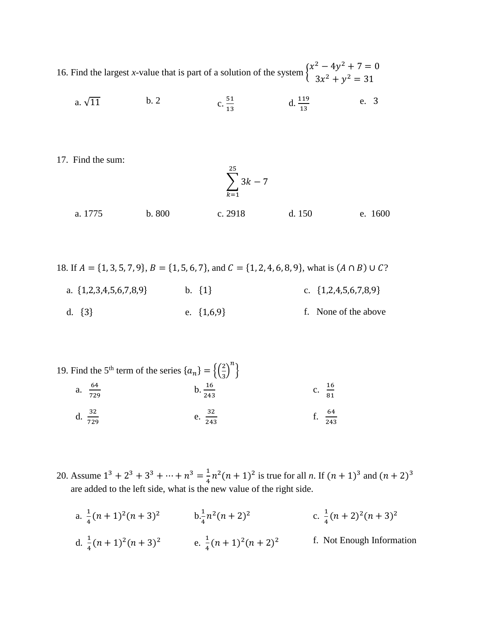16. Find the largest *x*-value that is part of a solution of the system  $\begin{cases} x^2 - 4y^2 + 7 = 0 \\ 2x - 3 = 24 \end{cases}$  $3x^2 + y^2 = 31$ 

a. 
$$
\sqrt{11}
$$
 b. 2 c.  $\frac{51}{13}$  d.  $\frac{119}{13}$  e. 3

17. Find the sum:

$$
\sum_{k=1}^{25} 3k - 7
$$

a. 1775 b. 800 c. 2918 d. 150 e. 1600

18. If  $A = \{1, 3, 5, 7, 9\}$ ,  $B = \{1, 5, 6, 7\}$ , and  $C = \{1, 2, 4, 6, 8, 9\}$ , what is  $(A \cap B) \cup C$ ? a. {1,2,3,4,5,6,7,8,9} b. {1} c. {1,2,4,5,6,7,8,9} d.  $\{3\}$  e.  $\{1,6,9\}$  f. None of the above

- 19. Find the 5<sup>th</sup> term of the series  $\{a_n\} = \left\{\left(\frac{2}{3}\right)^n\right\}$  $\left(\frac{2}{3}\right)^n$ a.  $\frac{64}{700}$ 729  $b. \frac{16}{243}$ c.  $\frac{16}{21}$ 81 d.  $\frac{32}{729}$ e.  $\frac{32}{348}$ 243 f.  $\frac{64}{243}$
- 20. Assume  $1^3 + 2^3 + 3^3 + \dots + n^3 = \frac{1}{4}$  $\frac{1}{4}n^2(n+1)^2$  is true for all *n*. If  $(n+1)^3$  and  $(n+2)^3$ are added to the left side, what is the new value of the right side.
	- a.  $\frac{1}{4}$  $\frac{1}{4}(n+1)^2(n+3)^2$  b. $\frac{1}{4}n^2(n+2)^2$ c.  $\frac{1}{4}$  $\frac{1}{4}(n+2)^2(n+3)^2$ d.  $\frac{1}{4}(n+1)^2(n+3)^2$  e.  $\frac{1}{4}$  $\frac{1}{4}(n+1)^2(n+2)$ f. Not Enough Information